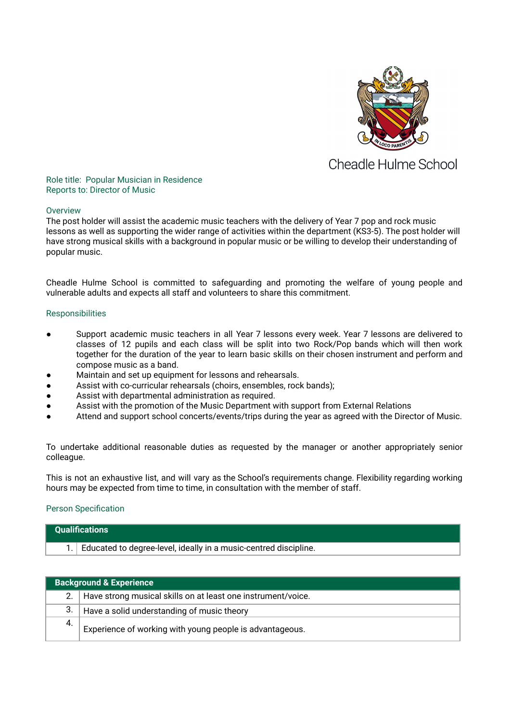

# **Cheadle Hulme School**

## Role title: Popular Musician in Residence Reports to: Director of Music

## **Overview**

The post holder will assist the academic music teachers with the delivery of Year 7 pop and rock music lessons as well as supporting the wider range of activities within the department (KS3-5). The post holder will have strong musical skills with a background in popular music or be willing to develop their understanding of popular music.

Cheadle Hulme School is committed to safeguarding and promoting the welfare of young people and vulnerable adults and expects all staff and volunteers to share this commitment.

## Responsibilities

- Support academic music teachers in all Year 7 lessons every week. Year 7 lessons are delivered to classes of 12 pupils and each class will be split into two Rock/Pop bands which will then work together for the duration of the year to learn basic skills on their chosen instrument and perform and compose music as a band.
- Maintain and set up equipment for lessons and rehearsals.
- Assist with co-curricular rehearsals (choirs, ensembles, rock bands);
- Assist with departmental administration as required.
- Assist with the promotion of the Music Department with support from External Relations
- Attend and support school concerts/events/trips during the year as agreed with the Director of Music.

To undertake additional reasonable duties as requested by the manager or another appropriately senior colleague.

This is not an exhaustive list, and will vary as the School's requirements change. Flexibility regarding working hours may be expected from time to time, in consultation with the member of staff.

# Person Specification

| <b>Qualifications</b> |                                                                  |  |
|-----------------------|------------------------------------------------------------------|--|
|                       | Educated to degree-level, ideally in a music-centred discipline. |  |
|                       |                                                                  |  |

| <b>Background &amp; Experience</b> |                                                              |  |
|------------------------------------|--------------------------------------------------------------|--|
|                                    | Have strong musical skills on at least one instrument/voice. |  |
| 3.                                 | Have a solid understanding of music theory                   |  |
| 4.                                 | Experience of working with young people is advantageous.     |  |